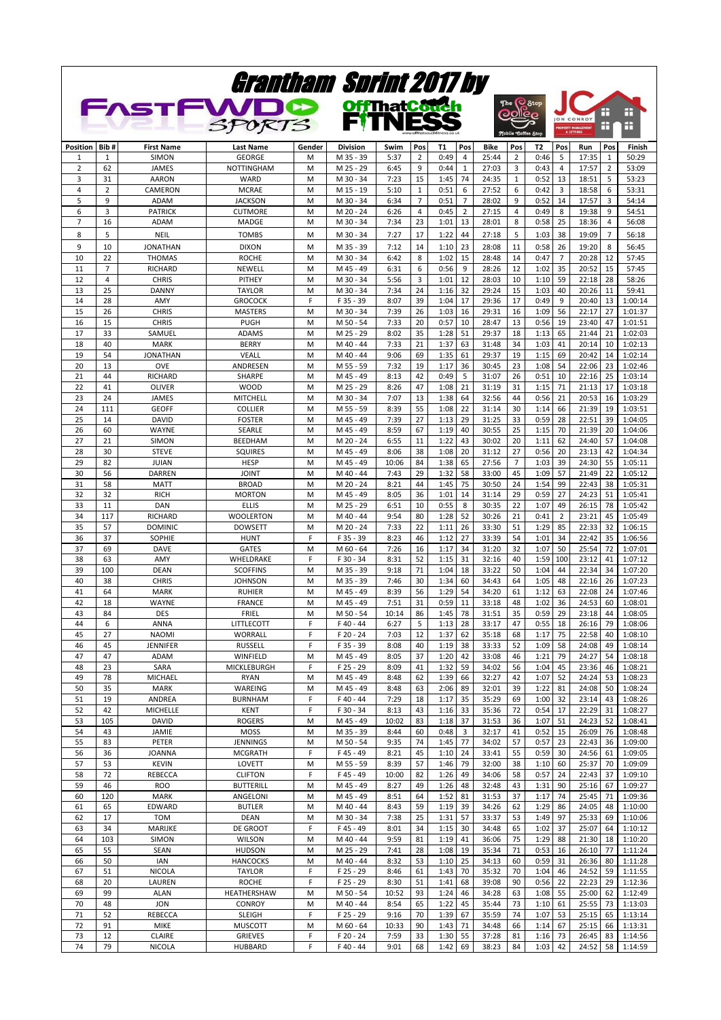| Grantham Sprint 2017 by<br><b>FASTFWDO</b><br><b>OffThatCouch</b><br>The C Stop<br>æ<br>æ<br><b>DOIICO</b><br>TNI<br>Е<br><b>JON CONROY</b><br>SPORTS |                |                                  |                                    |        |                          |               |              |              |                      |                |          |                           |                              |                |                     |                    |
|-------------------------------------------------------------------------------------------------------------------------------------------------------|----------------|----------------------------------|------------------------------------|--------|--------------------------|---------------|--------------|--------------|----------------------|----------------|----------|---------------------------|------------------------------|----------------|---------------------|--------------------|
|                                                                                                                                                       |                |                                  |                                    |        |                          |               |              |              |                      |                |          | <b>Mobile Coffee Stop</b> | ROPERTY MANAGE<br>& LETTINGS |                | Ŧ                   | æ                  |
| Position                                                                                                                                              | Bib#           | <b>First Name</b>                | <b>Last Name</b>                   | Gender | <b>Division</b>          | Swim          | Pos          | T1           | Pos                  | Bike           | Pos      | T2                        | Pos                          | Run            | Pos                 | Finish             |
| $\mathbf{1}$                                                                                                                                          | 1              | SIMON                            | <b>GEORGE</b>                      | M      | M 35 - 39                | 5:37          | 2<br>9       | 0:49         | $\overline{4}$       | 25:44          | 2        | 0:46                      | 5<br>$\overline{4}$          | 17:35          | 1                   | 50:29              |
| $\overline{2}$<br>3                                                                                                                                   | 62<br>31       | JAMES<br><b>AARON</b>            | <b>NOTTINGHAM</b><br>WARD          | M<br>M | M 25 - 29<br>M 30 - 34   | 6:45<br>7:23  | 15           | 0:44<br>1:45 | $\mathbf{1}$<br>74   | 27:03<br>24:35 | 3<br>1   | 0:43<br>0:52              | 13                           | 17:57<br>18:51 | $\overline{2}$<br>5 | 53:09<br>53:23     |
| $\overline{4}$                                                                                                                                        | $\overline{2}$ | CAMERON                          | <b>MCRAE</b>                       | M      | M 15 - 19                | 5:10          | $\mathbf{1}$ | 0:51         | 6                    | 27:52          | 6        | 0:42                      | 3                            | 18:58          | 6                   | 53:31              |
| 5                                                                                                                                                     | 9              | <b>ADAM</b>                      | <b>JACKSON</b>                     | M      | M 30 - 34                | 6:34          | 7            | 0:51         | $\overline{7}$       | 28:02          | 9        | 0:52                      | 14                           | 17:57          | 3                   | 54:14              |
| 6<br>7                                                                                                                                                | 3<br>16        | <b>PATRICK</b><br>ADAM           | <b>CUTMORE</b><br>MADGE            | M<br>M | M 20 - 24<br>M 30 - 34   | 6:26<br>7:34  | 4<br>23      | 0:45<br>1:01 | $\overline{2}$<br>13 | 27:15<br>28:01 | 4<br>8   | 0:49<br>0:58              | 8<br>25                      | 19:38<br>18:36 | 9<br>4              | 54:51<br>56:08     |
| 8                                                                                                                                                     | 5              | NEIL                             | <b>TOMBS</b>                       | M      | M 30 - 34                | 7:27          | 17           | 1:22         | 44                   | 27:18          | 5        | 1:03                      | 38                           | 19:09          | $\overline{7}$      | 56:18              |
| 9                                                                                                                                                     | 10             | <b>JONATHAN</b>                  | <b>DIXON</b>                       | M      | M 35 - 39                | 7:12          | 14           | 1:10         | 23                   | 28:08          | 11       | 0:58                      | 26                           | 19:20          | 8                   | 56:45              |
| 10                                                                                                                                                    | 22             | <b>THOMAS</b>                    | <b>ROCHE</b>                       | M      | M 30 - 34                | 6:42          | 8            | 1:02         | 15                   | 28:48          | 14       | 0:47                      | $\overline{7}$               | 20:28          | 12                  | 57:45              |
| 11<br>12                                                                                                                                              | 7<br>4         | <b>RICHARD</b><br><b>CHRIS</b>   | NEWELL<br>PITHEY                   | M<br>M | M 45 - 49<br>M 30 - 34   | 6:31<br>5:56  | 6<br>3       | 0:56<br>1:01 | 9<br>12              | 28:26<br>28:03 | 12<br>10 | 1:02<br>1:10              | 35<br>59                     | 20:52<br>22:18 | 15<br>28            | 57:45<br>58:26     |
| 13                                                                                                                                                    | 25             | <b>DANNY</b>                     | <b>TAYLOR</b>                      | M      | M 30 - 34                | 7:34          | 24           | 1:16         | 32                   | 29:24          | 15       | 1:03                      | 40                           | 20:26          | 11                  | 59:41              |
| 14                                                                                                                                                    | 28             | AMY                              | <b>GROCOCK</b>                     | F      | F 35 - 39                | 8:07          | 39           | 1:04         | 17                   | 29:36          | 17       | 0:49                      | 9                            | 20:40          | 13                  | 1:00:14            |
| 15                                                                                                                                                    | 26<br>15       | <b>CHRIS</b>                     | <b>MASTERS</b>                     | M      | M 30 - 34                | 7:39          | 26<br>20     | 1:03         | 16                   | 29:31          | 16       | 1:09                      | 56<br>19                     | 22:17          | 27                  | 1:01:37            |
| 16<br>17                                                                                                                                              | 33             | <b>CHRIS</b><br>SAMUEL           | <b>PUGH</b><br><b>ADAMS</b>        | M<br>M | M 50 - 54<br>M 25 - 29   | 7:33<br>8:02  | 35           | 0:57<br>1:28 | 10<br>51             | 28:47<br>29:37 | 13<br>18 | 0:56<br>1:13              | 65                           | 23:40<br>21:44 | 47<br>21            | 1:01:51<br>1:02:03 |
| 18                                                                                                                                                    | 40             | <b>MARK</b>                      | <b>BERRY</b>                       | M      | M 40 - 44                | 7:33          | 21           | 1:37         | 63                   | 31:48          | 34       | 1:03                      | 41                           | 20:14          | 10                  | 1:02:13            |
| 19                                                                                                                                                    | 54             | <b>JONATHAN</b>                  | <b>VEALL</b>                       | M      | M 40 - 44                | 9:06          | 69           | 1:35         | 61                   | 29:37          | 19       | 1:15                      | 69                           | 20:42          | 14                  | 1:02:14            |
| 20<br>21                                                                                                                                              | 13<br>44       | <b>OVE</b><br>RICHARD            | ANDRESEN<br>SHARPE                 | M<br>M | M 55 - 59<br>M 45 - 49   | 7:32<br>8:13  | 19<br>42     | 1:17<br>0:49 | 36<br>5              | 30:45<br>31:07 | 23<br>26 | 1:08<br>0:51              | 54<br>10                     | 22:06<br>22:16 | 23<br>25            | 1:02:46<br>1:03:14 |
| 22                                                                                                                                                    | 41             | <b>OLIVER</b>                    | <b>WOOD</b>                        | M      | M 25 - 29                | 8:26          | 47           | 1:08         | 21                   | 31:19          | 31       | 1:15                      | 71                           | 21:13          | 17                  | 1:03:18            |
| 23                                                                                                                                                    | 24             | JAMES                            | MITCHELL                           | M      | M 30 - 34                | 7:07          | 13           | 1:38         | 64                   | 32:56          | 44       | 0:56                      | 21                           | 20:53          | 16                  | 1:03:29            |
| 24                                                                                                                                                    | 111            | <b>GEOFF</b>                     | <b>COLLIER</b>                     | M      | M 55 - 59                | 8:39          | 55           | 1:08         | 22                   | 31:14          | 30       | 1:14                      | 66                           | 21:39          | 19                  | 1:03:51            |
| 25<br>26                                                                                                                                              | 14<br>60       | <b>DAVID</b><br>WAYNE            | <b>FOSTER</b><br><b>SEARLE</b>     | M<br>M | M 45 - 49<br>M 45 - 49   | 7:39<br>8:59  | 27<br>67     | 1:13<br>1:19 | 29<br>40             | 31:25<br>30:55 | 33<br>25 | 0:59<br>1:15              | 28<br>70                     | 22:51<br>21:39 | 39<br>20            | 1:04:05<br>1:04:06 |
| 27                                                                                                                                                    | 21             | SIMON                            | BEEDHAM                            | M      | M 20 - 24                | 6:55          | 11           | 1:22         | 43                   | 30:02          | 20       | 1:11                      | 62                           | 24:40          | 57                  | 1:04:08            |
| 28                                                                                                                                                    | 30             | <b>STEVE</b>                     | <b>SQUIRES</b>                     | M      | M 45 - 49                | 8:06          | 38           | 1:08         | 20                   | 31:12          | 27       | 0:56                      | 20                           | 23:13          | 42                  | 1:04:34            |
| 29<br>30                                                                                                                                              | 82<br>56       | <b>JUIAN</b>                     | <b>HESP</b><br><b>JOINT</b>        | M<br>M | M 45 - 49<br>M 40 - 44   | 10:06<br>7:43 | 84<br>29     | 1:38<br>1:32 | 65<br>58             | 27:56          | 7<br>45  | 1:03                      | 39<br>57                     | 24:30<br>21:49 | 55<br>22            | 1:05:11            |
| 31                                                                                                                                                    | 58             | <b>DARREN</b><br><b>MATT</b>     | <b>BROAD</b>                       | M      | M 20 - 24                | 8:21          | 44           | 1:45         | 75                   | 33:00<br>30:50 | 24       | 1:09<br>1:54              | 99                           | 22:43          | 38                  | 1:05:12<br>1:05:31 |
| 32                                                                                                                                                    | 32             | <b>RICH</b>                      | <b>MORTON</b>                      | M      | M 45 - 49                | 8:05          | 36           | 1:01         | 14                   | 31:14          | 29       | 0:59                      | 27                           | 24:23          | 51                  | 1:05:41            |
| 33                                                                                                                                                    | 11             | DAN                              | <b>ELLIS</b>                       | M      | M 25 - 29                | 6:51          | 10           | 0:55         | 8                    | 30:35          | 22       | 1:07                      | 49                           | 26:15          | 78                  | 1:05:42            |
| 34<br>35                                                                                                                                              | 117<br>57      | <b>RICHARD</b><br><b>DOMINIC</b> | <b>WOOLERTON</b><br><b>DOWSETT</b> | M<br>M | M 40 - 44<br>M 20 - 24   | 9:54<br>7:33  | 80<br>22     | 1:28<br>1:11 | 52<br>26             | 30:26<br>33:30 | 21<br>51 | 0:41<br>1:29              | $\overline{2}$<br>85         | 23:21<br>22:33 | 45<br>32            | 1:05:49<br>1:06:15 |
| 36                                                                                                                                                    | 37             | SOPHIE                           | <b>HUNT</b>                        | F      | F 35 - 39                | 8:23          | 46           | 1:12         | 27                   | 33:39          | 54       | 1:01                      | 34                           | 22:42          | 35                  | 1:06:56            |
| 37                                                                                                                                                    | 69             | <b>DAVE</b>                      | <b>GATES</b>                       | M      | M 60 - 64                | 7:26          | 16           | 1:17         | 34                   | 31:20          | 32       | 1:07                      | 50                           | 25:54          | 72                  | 1:07:01            |
| 38<br>39                                                                                                                                              | 63<br>100      | AMY<br><b>DEAN</b>               | WHELDRAKE<br><b>SCOFFINS</b>       | F<br>M | F 30 - 34<br>M 35 - 39   | 8:31<br>9:18  | 52<br>71     | 1:15         | 31                   | 32:16<br>33:22 | 40<br>50 | 1:59<br>1:04              | 100<br>44                    | 23:12<br>22:34 | 41<br>34            | 1:07:12<br>1:07:20 |
| 40                                                                                                                                                    | 38             | <b>CHRIS</b>                     | <b>JOHNSON</b>                     | M      | M 35 - 39                | 7:46          | 30           | 1:04<br>1:34 | 18<br>60             | 34:43          | 64       | 1:05                      | 48                           | 22:16          | 26                  | 1:07:23            |
| 41                                                                                                                                                    | 64             | <b>MARK</b>                      | <b>RUHIER</b>                      | M      | M 45 - 49                | 8:39          | 56           | 1:29         | 54                   | 34:20          | 61       | 1:12                      | 63                           | 22:08          | 24                  | 1:07:46            |
| 42                                                                                                                                                    | 18             | WAYNE                            | <b>FRANCE</b>                      | M      | M 45 - 49                | 7:51          | 31           | 0:59         | 11                   | 33:18          | 48       | 1:02                      | 36                           | 24:53          | 60                  | 1:08:01            |
| 43<br>44                                                                                                                                              | 84<br>6        | DES<br>ANNA                      | FRIEL<br>LITTLECOTT                | M<br>F | M 50 - 54<br>$F$ 40 - 44 | 10:14<br>6:27 | 86<br>5      | 1:45<br>1:13 | 78<br>28             | 31:51<br>33:17 | 35<br>47 | 0:59<br>0:55              | 29<br>18                     | 23:18<br>26:16 | 44<br>79            | 1:08:05<br>1:08:06 |
| 45                                                                                                                                                    | 27             | <b>NAOMI</b>                     | <b>WORRALL</b>                     | F      | F 20 - 24                | 7:03          | 12           | 1:37         | 62                   | 35:18          | 68       | 1:17                      | 75                           | 22:58          | 40                  | 1:08:10            |
| 46                                                                                                                                                    | 45             | <b>JENNIFER</b>                  | RUSSELL                            | F      | F 35 - 39                | 8:08          | 40           | 1:19         | 38                   | 33:33          | 52       | 1:09                      | 58                           | 24:08          | 49                  | 1:08:14            |
| 47<br>48                                                                                                                                              | 47<br>23       | ADAM<br>SARA                     | WINFIELD<br><b>MICKLEBURGH</b>     | M<br>F | M 45 - 49<br>F 25 - 29   | 8:05<br>8:09  | 37<br>41     | 1:20<br>1:32 | 42<br>59             | 33:08<br>34:02 | 46<br>56 | 1:21<br>1:04              | 79<br>45                     | 24:27<br>23:36 | 54<br>46            | 1:08:18<br>1:08:21 |
| 49                                                                                                                                                    | 78             | MICHAEL                          | <b>RYAN</b>                        | M      | M 45 - 49                | 8:48          | 62           | 1:39         | 66                   | 32:27          | 42       | 1:07                      | 52                           | 24:24          | 53                  | 1:08:23            |
| 50                                                                                                                                                    | 35             | <b>MARK</b>                      | WAREING                            | M      | M 45 - 49                | 8:48          | 63           | 2:06         | 89                   | 32:01          | 39       | 1:22                      | 81                           | 24:08          | 50                  | 1:08:24            |
| 51                                                                                                                                                    | 19             | ANDREA                           | <b>BURNHAM</b>                     | F<br>F | F40 - 44                 | 7:29          | 18           | 1:17         | 35                   | 35:29          | 69       | 1:00                      | 32                           | 23:14          | 43                  | 1:08:26            |
| 52<br>53                                                                                                                                              | 42<br>105      | MICHELLE<br><b>DAVID</b>         | KENT<br><b>ROGERS</b>              | M      | F 30 - 34<br>M 45 - 49   | 8:13<br>10:02 | 43<br>83     | 1:16<br>1:18 | 33<br>37             | 35:36<br>31:53 | 72<br>36 | 0:54<br>1:07              | 17<br>51                     | 22:29<br>24:23 | 31<br>52            | 1:08:27<br>1:08:41 |
| 54                                                                                                                                                    | 43             | JAMIE                            | MOSS                               | M      | M 35 - 39                | 8:44          | 60           | 0:48         | 3                    | 32:17          | 41       | 0:52                      | 15                           | 26:09          | 76                  | 1:08:48            |
| 55                                                                                                                                                    | 83             | PETER                            | <b>JENNINGS</b>                    | M      | M 50 - 54                | 9:35          | 74           | 1:45         | 77                   | 34:02          | 57       | 0:57                      | 23                           | 22:43          | 36                  | 1:09:00            |
| 56<br>57                                                                                                                                              | 36<br>53       | <b>JOANNA</b><br><b>KEVIN</b>    | <b>MCGRATH</b><br>LOVETT           | F<br>M | F45 - 49<br>M 55 - 59    | 8:21<br>8:39  | 45<br>57     | 1:10<br>1:46 | 24<br>79             | 33:41<br>32:00 | 55<br>38 | 0:59<br>1:10              | 30<br>60                     | 24:56<br>25:37 | 61<br>70            | 1:09:05<br>1:09:09 |
| 58                                                                                                                                                    | 72             | REBECCA                          | <b>CLIFTON</b>                     | F      | F 45 - 49                | 10:00         | 82           | 1:26         | 49                   | 34:06          | 58       | 0:57                      | 24                           | 22:43          | 37                  | 1:09:10            |
| 59                                                                                                                                                    | 46             | <b>ROO</b>                       | <b>BUTTERILL</b>                   | M      | M 45 - 49                | 8:27          | 49           | 1:26         | 48                   | 32:48          | 43       | 1:31                      | 90                           | 25:16          | 67                  | 1:09:27            |
| 60<br>61                                                                                                                                              | 120<br>65      | <b>MARK</b><br>EDWARD            | ANGELONI<br><b>BUTLER</b>          | M<br>M | M 45 - 49<br>M 40 - 44   | 8:51<br>8:43  | 64<br>59     | 1:52<br>1:19 | 81<br>39             | 31:53<br>34:26 | 37<br>62 | 1:17<br>1:29              | 74<br>86                     | 25:45<br>24:05 | 71<br>48            | 1:09:36<br>1:10:00 |
| 62                                                                                                                                                    | 17             | <b>TOM</b>                       | <b>DEAN</b>                        | M      | M 30 - 34                | 7:38          | 25           | 1:31         | 57                   | 33:37          | 53       | 1:49                      | 97                           | 25:33          | 69                  | 1:10:06            |
| 63                                                                                                                                                    | 34             | MARIJKE                          | DE GROOT                           | F      | F45-49                   | 8:01          | 34           | 1:15         | 30                   | 34:48          | 65       | 1:02                      | 37                           | 25:07          | 64                  | 1:10:12            |
| 64                                                                                                                                                    | 103            | SIMON                            | <b>WILSON</b>                      | M      | M 40 - 44                | 9:59          | 81           | 1:19         | 41                   | 36:06          | 75       | 1:29                      | 88                           | 21:30          | 18                  | 1:10:20            |
| 65<br>66                                                                                                                                              | 55<br>50       | <b>SEAN</b><br><b>IAN</b>        | <b>HUDSON</b><br><b>HANCOCKS</b>   | M<br>M | M 25 - 29<br>M 40 - 44   | 7:41<br>8:32  | 28<br>53     | 1:08<br>1:10 | 19<br>25             | 35:34<br>34:13 | 71<br>60 | 0:53<br>0:59              | 16<br>31                     | 26:10<br>26:36 | 77<br>80            | 1:11:24<br>1:11:28 |
| 67                                                                                                                                                    | 51             | NICOLA                           | <b>TAYLOR</b>                      | F      | F 25 - 29                | 8:46          | 61           | 1:43         | 70                   | 35:32          | 70       | 1:04                      | 46                           | 24:52          | 59                  | 1:11:55            |
| 68                                                                                                                                                    | 20             | LAUREN                           | <b>ROCHE</b>                       | F      | F 25 - 29                | 8:30          | 51           | 1:41         | 68                   | 39:08          | 90       | 0:56                      | 22                           | 22:23          | 29                  | 1:12:36            |
| 69<br>70                                                                                                                                              | 99<br>48       | <b>ALAN</b><br><b>JON</b>        | HEATHERSHAW<br><b>CONROY</b>       | M<br>M | M 50 - 54<br>M 40 - 44   | 10:52<br>8:54 | 93<br>65     | 1:24<br>1:22 | 46<br>45             | 34:28<br>35:44 | 63<br>73 | 1:08<br>1:10              | 55<br>61                     | 25:00<br>25:55 | 62<br>73            | 1:12:49<br>1:13:03 |
| 71                                                                                                                                                    | 52             | REBECCA                          | <b>SLEIGH</b>                      | F      | F 25 - 29                | 9:16          | 70           | 1:39         | 67                   | 35:59          | 74       | 1:07                      | 53                           | 25:15          | 65                  | 1:13:14            |
| 72                                                                                                                                                    | 91             | <b>MIKE</b>                      | <b>MUSCOTT</b>                     | M      | M 60 - 64                | 10:33         | 90           | 1:43         | 71                   | 34:48          | 66       | 1:14                      | 67                           | 25:15          | 66                  | 1:13:31            |
| 73                                                                                                                                                    | 12             | CLAIRE                           | <b>GRIEVES</b>                     | F      | F 20 - 24                | 7:59          | 33           | 1:30         | 55                   | 37:28          | 81       | 1:16                      | 73                           | 26:45          | 83                  | 1:14:56            |
| 74                                                                                                                                                    | 79             | NICOLA                           | <b>HUBBARD</b>                     | F      | F40 - 44                 | 9:01          | 68           | 1:42         | 69                   | 38:23          | 84       | 1:03                      | 42                           | 24:52          | 58                  | 1:14:59            |